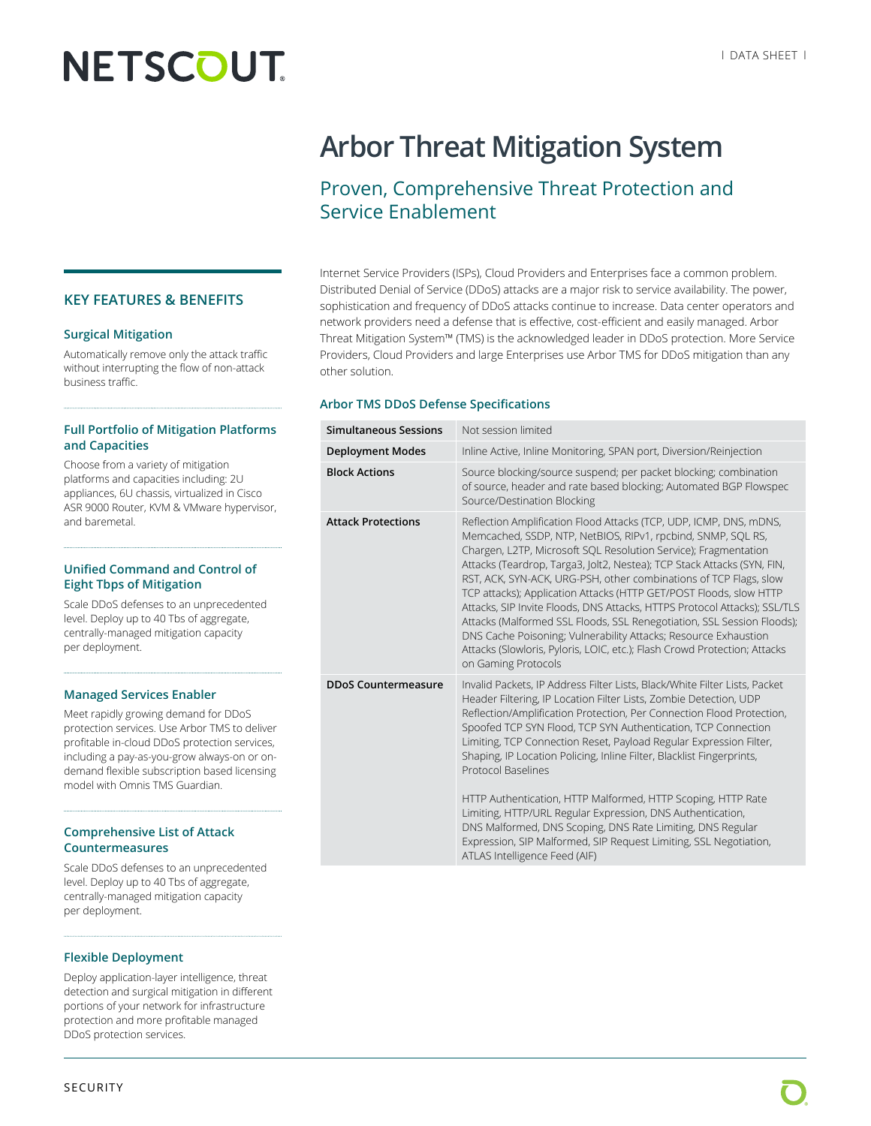# **NETSCOUT**

**KEY FEATURES & BENEFITS**

### **Surgical Mitigation**

Automatically remove only the attack traffic without interrupting the flow of non-attack business traffic.

### **Full Portfolio of Mitigation Platforms and Capacities**

Choose from a variety of mitigation platforms and capacities including: 2U appliances, 6U chassis, virtualized in Cisco ASR 9000 Router, KVM & VMware hypervisor, and baremetal.

### **Unified Command and Control of Eight Tbps of Mitigation**

Scale DDoS defenses to an unprecedented level. Deploy up to 40 Tbs of aggregate, centrally-managed mitigation capacity per deployment.

### **Managed Services Enabler**

Meet rapidly growing demand for DDoS protection services. Use Arbor TMS to deliver profitable in-cloud DDoS protection services, including a pay-as-you-grow always-on or ondemand flexible subscription based licensing model with Omnis TMS Guardian.

### **Comprehensive List of Attack Countermeasures**

Scale DDoS defenses to an unprecedented level. Deploy up to 40 Tbs of aggregate, centrally-managed mitigation capacity per deployment.

### **Flexible Deployment**

Deploy application-layer intelligence, threat detection and surgical mitigation in different portions of your network for infrastructure protection and more profitable managed DDoS protection services.

## **Arbor Threat Mitigation System**

### Proven, Comprehensive Threat Protection and Service Enablement

Internet Service Providers (ISPs), Cloud Providers and Enterprises face a common problem. Distributed Denial of Service (DDoS) attacks are a major risk to service availability. The power, sophistication and frequency of DDoS attacks continue to increase. Data center operators and network providers need a defense that is effective, cost-efficient and easily managed. Arbor Threat Mitigation System™ (TMS) is the acknowledged leader in DDoS protection. More Service Providers, Cloud Providers and large Enterprises use Arbor TMS for DDoS mitigation than any other solution.

### **Arbor TMS DDoS Defense Specifications**

| Simultaneous Sessions      | Not session limited                                                                                                                                                                                                                                                                                                                                                                                                                                                                                                                                                                                                                                                                                                                                              |  |  |
|----------------------------|------------------------------------------------------------------------------------------------------------------------------------------------------------------------------------------------------------------------------------------------------------------------------------------------------------------------------------------------------------------------------------------------------------------------------------------------------------------------------------------------------------------------------------------------------------------------------------------------------------------------------------------------------------------------------------------------------------------------------------------------------------------|--|--|
| <b>Deployment Modes</b>    | Inline Active, Inline Monitoring, SPAN port, Diversion/Reinjection                                                                                                                                                                                                                                                                                                                                                                                                                                                                                                                                                                                                                                                                                               |  |  |
| <b>Block Actions</b>       | Source blocking/source suspend; per packet blocking; combination<br>of source, header and rate based blocking; Automated BGP Flowspec<br>Source/Destination Blocking                                                                                                                                                                                                                                                                                                                                                                                                                                                                                                                                                                                             |  |  |
| <b>Attack Protections</b>  | Reflection Amplification Flood Attacks (TCP, UDP, ICMP, DNS, mDNS,<br>Memcached, SSDP, NTP, NetBIOS, RIPv1, rpcbind, SNMP, SQL RS,<br>Chargen, L2TP, Microsoft SOL Resolution Service); Fragmentation<br>Attacks (Teardrop, Targa3, Jolt2, Nestea); TCP Stack Attacks (SYN, FIN,<br>RST, ACK, SYN-ACK, URG-PSH, other combinations of TCP Flags, slow<br>TCP attacks); Application Attacks (HTTP GET/POST Floods, slow HTTP<br>Attacks, SIP Invite Floods, DNS Attacks, HTTPS Protocol Attacks); SSL/TLS<br>Attacks (Malformed SSL Floods, SSL Renegotiation, SSL Session Floods);<br>DNS Cache Poisoning; Vulnerability Attacks; Resource Exhaustion<br>Attacks (Slowloris, Pyloris, LOIC, etc.); Flash Crowd Protection; Attacks<br>on Gaming Protocols        |  |  |
| <b>DDoS Countermeasure</b> | Invalid Packets, IP Address Filter Lists, Black/White Filter Lists, Packet<br>Header Filtering, IP Location Filter Lists, Zombie Detection, UDP<br>Reflection/Amplification Protection, Per Connection Flood Protection,<br>Spoofed TCP SYN Flood, TCP SYN Authentication, TCP Connection<br>Limiting, TCP Connection Reset, Payload Regular Expression Filter,<br>Shaping, IP Location Policing, Inline Filter, Blacklist Fingerprints,<br>Protocol Baselines<br>HTTP Authentication, HTTP Malformed, HTTP Scoping, HTTP Rate<br>Limiting, HTTP/URL Regular Expression, DNS Authentication,<br>DNS Malformed, DNS Scoping, DNS Rate Limiting, DNS Regular<br>Expression, SIP Malformed, SIP Request Limiting, SSL Negotiation,<br>ATLAS Intelligence Feed (AIF) |  |  |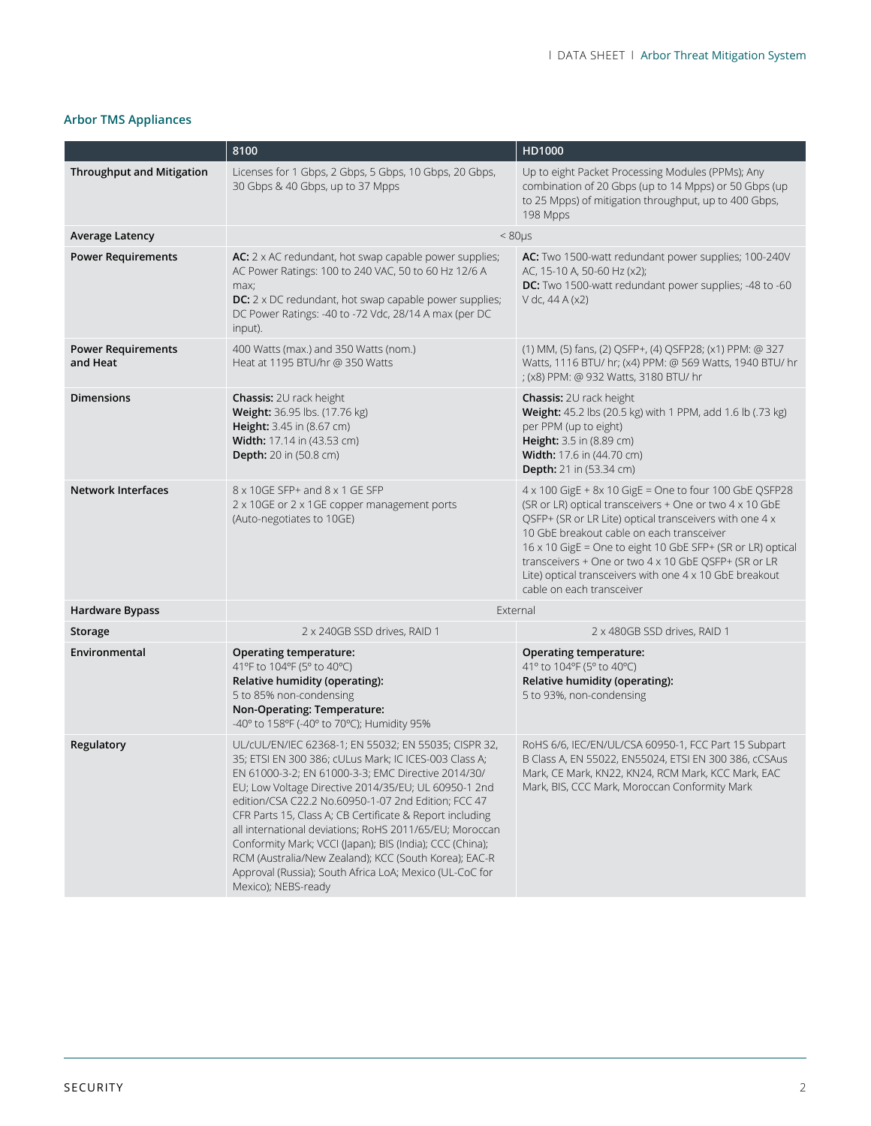### **Arbor TMS Appliances**

|                                       | 8100                                                                                                                                                                                                                                                                                                                                                                                                                                                                                                                                                                                                             | HD1000                                                                                                                                                                                                                                                                                                                                                                                                                                         |  |
|---------------------------------------|------------------------------------------------------------------------------------------------------------------------------------------------------------------------------------------------------------------------------------------------------------------------------------------------------------------------------------------------------------------------------------------------------------------------------------------------------------------------------------------------------------------------------------------------------------------------------------------------------------------|------------------------------------------------------------------------------------------------------------------------------------------------------------------------------------------------------------------------------------------------------------------------------------------------------------------------------------------------------------------------------------------------------------------------------------------------|--|
| <b>Throughput and Mitigation</b>      | Licenses for 1 Gbps, 2 Gbps, 5 Gbps, 10 Gbps, 20 Gbps,<br>30 Gbps & 40 Gbps, up to 37 Mpps                                                                                                                                                                                                                                                                                                                                                                                                                                                                                                                       | Up to eight Packet Processing Modules (PPMs); Any<br>combination of 20 Gbps (up to 14 Mpps) or 50 Gbps (up<br>to 25 Mpps) of mitigation throughput, up to 400 Gbps,<br>198 Mpps                                                                                                                                                                                                                                                                |  |
| <b>Average Latency</b>                | $< 80 \mu s$                                                                                                                                                                                                                                                                                                                                                                                                                                                                                                                                                                                                     |                                                                                                                                                                                                                                                                                                                                                                                                                                                |  |
| <b>Power Requirements</b>             | AC: $2 \times AC$ redundant, hot swap capable power supplies;<br>AC Power Ratings: 100 to 240 VAC, 50 to 60 Hz 12/6 A<br>max;<br><b>DC:</b> $2 \times$ DC redundant, hot swap capable power supplies;<br>DC Power Ratings: -40 to -72 Vdc, 28/14 A max (per DC<br>input).                                                                                                                                                                                                                                                                                                                                        | AC: Two 1500-watt redundant power supplies; 100-240V<br>AC, 15-10 A, 50-60 Hz (x2);<br>DC: Two 1500-watt redundant power supplies; -48 to -60<br>V dc, 44 A (x2)                                                                                                                                                                                                                                                                               |  |
| <b>Power Requirements</b><br>and Heat | 400 Watts (max.) and 350 Watts (nom.)<br>Heat at 1195 BTU/hr @ 350 Watts                                                                                                                                                                                                                                                                                                                                                                                                                                                                                                                                         | (1) MM, (5) fans, (2) QSFP+, (4) QSFP28; (x1) PPM: @ 327<br>Watts, 1116 BTU/ hr; (x4) PPM: @ 569 Watts, 1940 BTU/ hr<br>; (x8) PPM: @ 932 Watts, 3180 BTU/ hr                                                                                                                                                                                                                                                                                  |  |
| <b>Dimensions</b>                     | <b>Chassis:</b> 2U rack height<br>Weight: 36.95 lbs. (17.76 kg)<br>Height: 3.45 in (8.67 cm)<br>Width: 17.14 in (43.53 cm)<br>Depth: 20 in (50.8 cm)                                                                                                                                                                                                                                                                                                                                                                                                                                                             | <b>Chassis:</b> 2U rack height<br>Weight: 45.2 lbs (20.5 kg) with 1 PPM, add 1.6 lb (.73 kg)<br>per PPM (up to eight)<br>Height: 3.5 in (8.89 cm)<br><b>Width:</b> 17.6 in (44.70 cm)<br><b>Depth:</b> 21 in (53.34 cm)                                                                                                                                                                                                                        |  |
| <b>Network Interfaces</b>             | 8 x 10GE SFP+ and 8 x 1 GE SFP<br>2 x 10GE or 2 x 1GE copper management ports<br>(Auto-negotiates to 10GE)                                                                                                                                                                                                                                                                                                                                                                                                                                                                                                       | $4 \times 100$ GigE + 8x 10 GigE = One to four 100 GbE QSFP28<br>(SR or LR) optical transceivers + One or two 4 x 10 GbE<br>OSFP+ (SR or LR Lite) optical transceivers with one 4 x<br>10 GbE breakout cable on each transceiver<br>16 x 10 GigE = One to eight 10 GbE SFP+ (SR or LR) optical<br>transceivers + One or two 4 x 10 GbE QSFP+ (SR or LR<br>Lite) optical transceivers with one 4 x 10 GbE breakout<br>cable on each transceiver |  |
| <b>Hardware Bypass</b>                | External                                                                                                                                                                                                                                                                                                                                                                                                                                                                                                                                                                                                         |                                                                                                                                                                                                                                                                                                                                                                                                                                                |  |
| Storage                               | 2 x 240GB SSD drives, RAID 1                                                                                                                                                                                                                                                                                                                                                                                                                                                                                                                                                                                     | 2 x 480GB SSD drives, RAID 1                                                                                                                                                                                                                                                                                                                                                                                                                   |  |
| Environmental                         | Operating temperature:<br>41°F to 104°F (5° to 40°C)<br>Relative humidity (operating):<br>5 to 85% non-condensing<br>Non-Operating: Temperature:<br>-40° to 158°F (-40° to 70°C); Humidity 95%                                                                                                                                                                                                                                                                                                                                                                                                                   | Operating temperature:<br>41° to 104°F (5° to 40°C)<br>Relative humidity (operating):<br>5 to 93%, non-condensing                                                                                                                                                                                                                                                                                                                              |  |
| Regulatory                            | UL/cUL/EN/IEC 62368-1; EN 55032; EN 55035; CISPR 32,<br>35; ETSI EN 300 386; cULus Mark; IC ICES-003 Class A;<br>EN 61000-3-2; EN 61000-3-3; EMC Directive 2014/30/<br>EU; Low Voltage Directive 2014/35/EU; UL 60950-1 2nd<br>edition/CSA C22.2 No.60950-1-07 2nd Edition; FCC 47<br>CFR Parts 15, Class A; CB Certificate & Report including<br>all international deviations; RoHS 2011/65/EU; Moroccan<br>Conformity Mark; VCCI (Japan); BIS (India); CCC (China);<br>RCM (Australia/New Zealand); KCC (South Korea); EAC-R<br>Approval (Russia); South Africa LoA; Mexico (UL-CoC for<br>Mexico); NEBS-ready | RoHS 6/6, IEC/EN/UL/CSA 60950-1, FCC Part 15 Subpart<br>B Class A, EN 55022, EN55024, ETSI EN 300 386, cCSAus<br>Mark, CE Mark, KN22, KN24, RCM Mark, KCC Mark, EAC<br>Mark, BIS, CCC Mark, Moroccan Conformity Mark                                                                                                                                                                                                                           |  |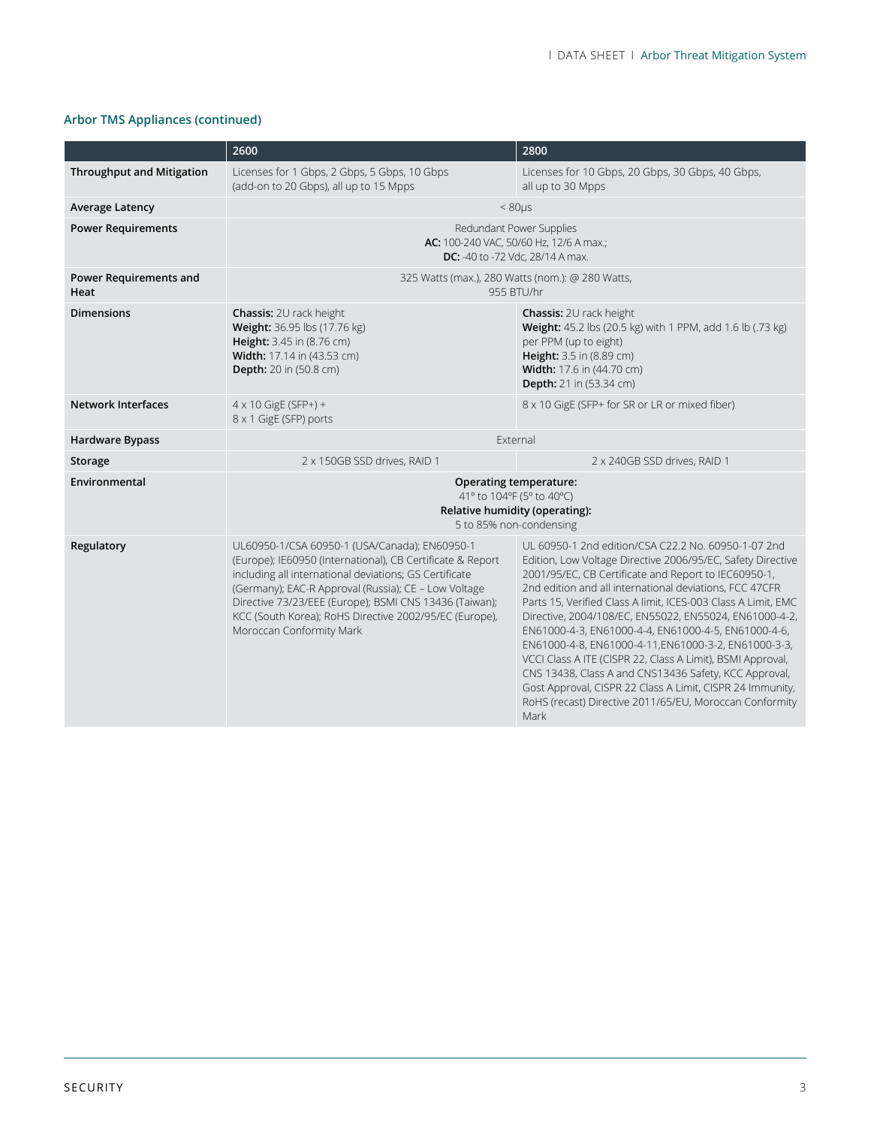### **Arbor TMS Appliances (continued)**

|                                  | 2600                                                                                                                                                                                                                                                                                                                                                                          | 2800                                                                                                                                                                                                                                                                                                                                                                                                                                                                                                                                                                                                                                                                                                                                   |  |
|----------------------------------|-------------------------------------------------------------------------------------------------------------------------------------------------------------------------------------------------------------------------------------------------------------------------------------------------------------------------------------------------------------------------------|----------------------------------------------------------------------------------------------------------------------------------------------------------------------------------------------------------------------------------------------------------------------------------------------------------------------------------------------------------------------------------------------------------------------------------------------------------------------------------------------------------------------------------------------------------------------------------------------------------------------------------------------------------------------------------------------------------------------------------------|--|
| <b>Throughput and Mitigation</b> | Licenses for 1 Gbps, 2 Gbps, 5 Gbps, 10 Gbps<br>(add-on to 20 Gbps), all up to 15 Mpps                                                                                                                                                                                                                                                                                        | Licenses for 10 Gbps, 20 Gbps, 30 Gbps, 40 Gbps,<br>all up to 30 Mpps                                                                                                                                                                                                                                                                                                                                                                                                                                                                                                                                                                                                                                                                  |  |
| <b>Average Latency</b>           | $< 80 \mu s$                                                                                                                                                                                                                                                                                                                                                                  |                                                                                                                                                                                                                                                                                                                                                                                                                                                                                                                                                                                                                                                                                                                                        |  |
| <b>Power Requirements</b>        | Redundant Power Supplies<br>AC: 100-240 VAC, 50/60 Hz, 12/6 A max.;<br><b>DC:</b> -40 to -72 Vdc, 28/14 A max.                                                                                                                                                                                                                                                                |                                                                                                                                                                                                                                                                                                                                                                                                                                                                                                                                                                                                                                                                                                                                        |  |
| Power Requirements and<br>Heat   | 325 Watts (max.), 280 Watts (nom.): @ 280 Watts,<br>955 BTU/hr                                                                                                                                                                                                                                                                                                                |                                                                                                                                                                                                                                                                                                                                                                                                                                                                                                                                                                                                                                                                                                                                        |  |
| <b>Dimensions</b>                | <b>Chassis: 2U rack height</b><br>Weight: 36.95 lbs (17.76 kg)<br>Height: 3.45 in (8.76 cm)<br>Width: 17.14 in (43.53 cm)<br><b>Depth:</b> 20 in (50.8 cm)                                                                                                                                                                                                                    | <b>Chassis: 2U rack height</b><br>Weight: 45.2 lbs (20.5 kg) with 1 PPM, add 1.6 lb (.73 kg)<br>per PPM (up to eight)<br>Height: 3.5 in (8.89 cm)<br>Width: 17.6 in (44.70 cm)<br>Depth: 21 in (53.34 cm)                                                                                                                                                                                                                                                                                                                                                                                                                                                                                                                              |  |
| <b>Network Interfaces</b>        | $4 \times 10$ GigE (SFP+) +<br>8 x 1 GigE (SFP) ports                                                                                                                                                                                                                                                                                                                         | 8 x 10 GigE (SFP+ for SR or LR or mixed fiber)                                                                                                                                                                                                                                                                                                                                                                                                                                                                                                                                                                                                                                                                                         |  |
| <b>Hardware Bypass</b>           | External                                                                                                                                                                                                                                                                                                                                                                      |                                                                                                                                                                                                                                                                                                                                                                                                                                                                                                                                                                                                                                                                                                                                        |  |
| Storage                          | 2 x 150GB SSD drives, RAID 1                                                                                                                                                                                                                                                                                                                                                  | 2 x 240GB SSD drives, RAID 1                                                                                                                                                                                                                                                                                                                                                                                                                                                                                                                                                                                                                                                                                                           |  |
| Environmental                    | <b>Operating temperature:</b><br>41° to 104°F (5° to 40°C)<br>Relative humidity (operating):<br>5 to 85% non-condensing                                                                                                                                                                                                                                                       |                                                                                                                                                                                                                                                                                                                                                                                                                                                                                                                                                                                                                                                                                                                                        |  |
| Regulatory                       | UL60950-1/CSA 60950-1 (USA/Canada); EN60950-1<br>(Europe); IE60950 (International), CB Certificate & Report<br>including all international deviations; GS Certificate<br>(Germany); EAC-R Approval (Russia); CE - Low Voltage<br>Directive 73/23/EEE (Europe); BSMI CNS 13436 (Taiwan);<br>KCC (South Korea); RoHS Directive 2002/95/EC (Europe),<br>Moroccan Conformity Mark | UL 60950-1 2nd edition/CSA C22.2 No. 60950-1-07 2nd<br>Edition, Low Voltage Directive 2006/95/EC, Safety Directive<br>2001/95/EC, CB Certificate and Report to IEC60950-1,<br>2nd edition and all international deviations, FCC 47CFR<br>Parts 15, Verified Class A limit, ICES-003 Class A Limit, EMC<br>Directive, 2004/108/EC, EN55022, EN55024, EN61000-4-2,<br>EN61000-4-3, EN61000-4-4, EN61000-4-5, EN61000-4-6,<br>EN61000-4-8, EN61000-4-11, EN61000-3-2, EN61000-3-3,<br>VCCI Class A ITE (CISPR 22, Class A Limit), BSMI Approval,<br>CNS 13438, Class A and CNS13436 Safety, KCC Approval,<br>Gost Approval, CISPR 22 Class A Limit, CISPR 24 Immunity,<br>RoHS (recast) Directive 2011/65/EU, Moroccan Conformity<br>Mark |  |